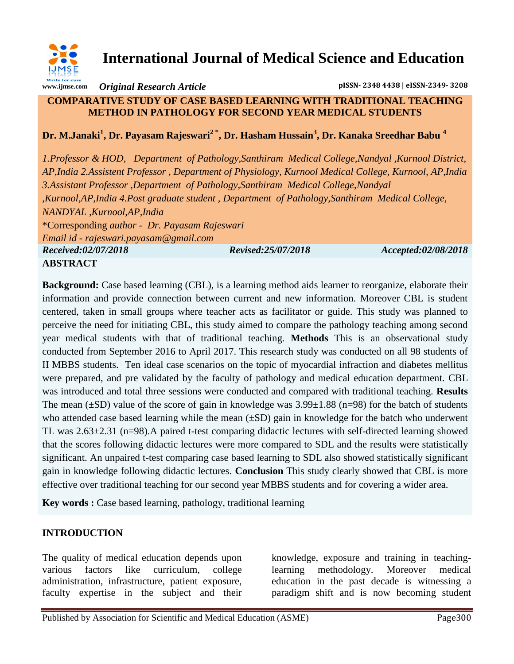

**International Journal of Medical Science and Education**

*Original Research Article* **pISSN- 2348 4438 | eISSN-2349- 3208**

#### **COMPARATIVE STUDY OF CASE BASED LEARNING WITH TRADITIONAL TEACHING METHOD IN PATHOLOGY FOR SECOND YEAR MEDICAL STUDENTS**

**Dr. M.Janaki<sup>1</sup> , Dr. Payasam Rajeswari2 \*, Dr. Hasham Hussain<sup>3</sup> , Dr. Kanaka Sreedhar Babu <sup>4</sup>**

*1.Professor & HOD, Department of Pathology,Santhiram Medical College,Nandyal ,Kurnool District, AP,India 2.Assistent Professor , Department of Physiology, Kurnool Medical College, Kurnool, AP,India 3.Assistant Professor ,Department of Pathology,Santhiram Medical College,Nandyal ,Kurnool,AP,India 4.Post graduate student , Department of Pathology,Santhiram Medical College, NANDYAL ,Kurnool,AP,India* \*Corresponding *author - Dr. Payasam Rajeswari Email id - [rajeswari.payasam@gmail.com](https://mail.google.com/mail/u/0/h/3m6mrp36g5xr/?&cs=wh&v=b&to=rajeswari.payasam@gmail.com) Received:02/07/2018 Revised:25/07/2018 Accepted:02/08/2018* **ABSTRACT**

**Background:** Case based learning (CBL), is a learning method aids learner to reorganize, elaborate their information and provide connection between current and new information. Moreover CBL is student centered, taken in small groups where teacher acts as facilitator or guide. This study was planned to perceive the need for initiating CBL, this study aimed to compare the pathology teaching among second year medical students with that of traditional teaching. **Methods** This is an observational study conducted from September 2016 to April 2017. This research study was conducted on all 98 students of II MBBS students. Ten ideal case scenarios on the topic of myocardial infraction and diabetes mellitus were prepared, and pre validated by the faculty of pathology and medical education department. CBL was introduced and total three sessions were conducted and compared with traditional teaching. **Results**  The mean  $(\pm SD)$  value of the score of gain in knowledge was  $3.99\pm1.88$  (n=98) for the batch of students who attended case based learning while the mean  $(\pm SD)$  gain in knowledge for the batch who underwent TL was 2.63±2.31 (n=98).A paired t-test comparing didactic lectures with self-directed learning showed that the scores following didactic lectures were more compared to SDL and the results were statistically significant. An unpaired t-test comparing case based learning to SDL also showed statistically significant gain in knowledge following didactic lectures. **Conclusion** This study clearly showed that CBL is more effective over traditional teaching for our second year MBBS students and for covering a wider area.

**Key words :** Case based learning, pathology, traditional learning

## **INTRODUCTION**

The quality of medical education depends upon various factors like curriculum, college administration, infrastructure, patient exposure, faculty expertise in the subject and their

knowledge, exposure and training in teachinglearning methodology. Moreover medical education in the past decade is witnessing a paradigm shift and is now becoming student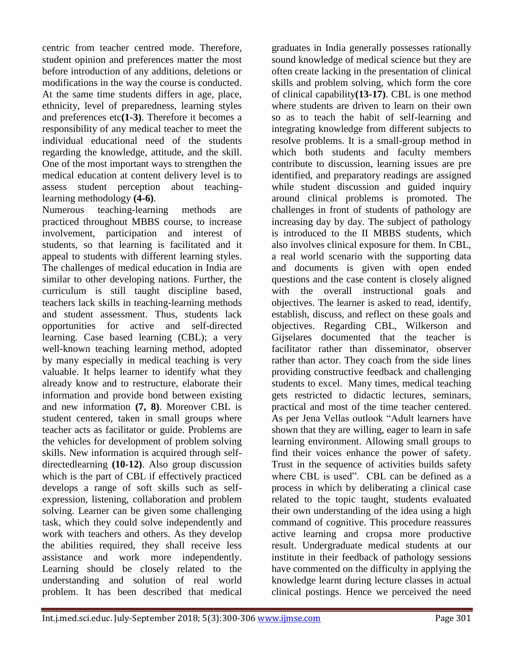centric from teacher centred mode. Therefore, student opinion and preferences matter the most before introduction of any additions, deletions or modifications in the way the course is conducted. At the same time students differs in age, place, ethnicity, level of preparedness, learning styles and preferences etc**(1-3)**. Therefore it becomes a responsibility of any medical teacher to meet the individual educational need of the students regarding the knowledge, attitude, and the skill. One of the most important ways to strengthen the medical education at content delivery level is to assess student perception about teachinglearning methodology **(4-6)**.

Numerous teaching-learning methods are practiced throughout MBBS course, to increase involvement, participation and interest of students, so that learning is facilitated and it appeal to students with different learning styles. The challenges of medical education in India are similar to other developing nations. Further, the curriculum is still taught discipline based, teachers lack skills in teaching-learning methods and student assessment. Thus, students lack opportunities for active and self-directed learning. Case based learning (CBL); a very well-known teaching learning method, adopted by many especially in medical teaching is very valuable. It helps learner to identify what they already know and to restructure, elaborate their information and provide bond between existing and new information **(7, 8)**. Moreover CBL is student centered, taken in small groups where teacher acts as facilitator or guide. Problems are the vehicles for development of problem solving skills. New information is acquired through selfdirectedlearning **(10-12)**. Also group discussion which is the part of CBL if effectively practiced develops a range of soft skills such as selfexpression, listening, collaboration and problem solving. Learner can be given some challenging task, which they could solve independently and work with teachers and others. As they develop the abilities required, they shall receive less assistance and work more independently. Learning should be closely related to the understanding and solution of real world problem. It has been described that medical

graduates in India generally possesses rationally sound knowledge of medical science but they are often create lacking in the presentation of clinical skills and problem solving, which form the core of clinical capability**(13-17)**. CBL is one method where students are driven to learn on their own so as to teach the habit of self-learning and integrating knowledge from different subjects to resolve problems. It is a small-group method in which both students and faculty members contribute to discussion, learning issues are pre identified, and preparatory readings are assigned while student discussion and guided inquiry around clinical problems is promoted. The challenges in front of students of pathology are increasing day by day. The subject of pathology is introduced to the II MBBS students, which also involves clinical exposure for them. In CBL, a real world scenario with the supporting data and documents is given with open ended questions and the case content is closely aligned with the overall instructional goals and objectives. The learner is asked to read, identify, establish, discuss, and reflect on these goals and objectives. Regarding CBL, Wilkerson and Gijselares documented that the teacher is facilitator rather than disseminator, observer rather than actor. They coach from the side lines providing constructive feedback and challenging students to excel. Many times, medical teaching gets restricted to didactic lectures, seminars, practical and most of the time teacher centered. As per Jena Vellas outlook "Adult learners have shown that they are willing, eager to learn in safe learning environment. Allowing small groups to find their voices enhance the power of safety. Trust in the sequence of activities builds safety where CBL is used". CBL can be defined as a process in which by deliberating a clinical case related to the topic taught, students evaluated their own understanding of the idea using a high command of cognitive. This procedure reassures active learning and cropsa more productive result. Undergraduate medical students at our institute in their feedback of pathology sessions have commented on the difficulty in applying the knowledge learnt during lecture classes in actual clinical postings. Hence we perceived the need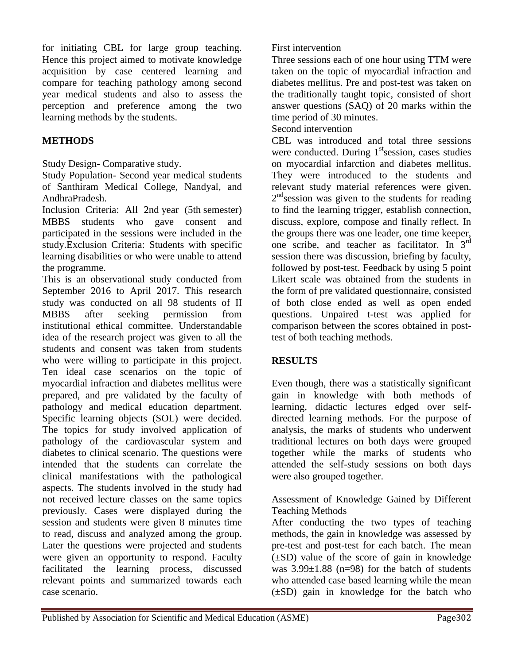for initiating CBL for large group teaching. Hence this project aimed to motivate knowledge acquisition by case centered learning and compare for teaching pathology among second year medical students and also to assess the perception and preference among the two learning methods by the students.

# **METHODS**

Study Design- Comparative study.

Study Population- Second year medical students of Santhiram Medical College, Nandyal, and AndhraPradesh.

Inclusion Criteria: All 2nd year (5th semester) MBBS students who gave consent and participated in the sessions were included in the study.Exclusion Criteria: Students with specific learning disabilities or who were unable to attend the programme.

This is an observational study conducted from September 2016 to April 2017. This research study was conducted on all 98 students of II MBBS after seeking permission from institutional ethical committee. Understandable idea of the research project was given to all the students and consent was taken from students who were willing to participate in this project. Ten ideal case scenarios on the topic of myocardial infraction and diabetes mellitus were prepared, and pre validated by the faculty of pathology and medical education department. Specific learning objects (SOL) were decided. The topics for study involved application of pathology of the cardiovascular system and diabetes to clinical scenario. The questions were intended that the students can correlate the clinical manifestations with the pathological aspects. The students involved in the study had not received lecture classes on the same topics previously. Cases were displayed during the session and students were given 8 minutes time to read, discuss and analyzed among the group. Later the questions were projected and students were given an opportunity to respond. Faculty facilitated the learning process, discussed relevant points and summarized towards each case scenario.

Three sessions each of one hour using TTM were taken on the topic of myocardial infraction and diabetes mellitus. Pre and post-test was taken on the traditionally taught topic, consisted of short answer questions (SAQ) of 20 marks within the time period of 30 minutes.

Second intervention

CBL was introduced and total three sessions were conducted. During  $1<sup>st</sup>$ session, cases studies on myocardial infarction and diabetes mellitus. They were introduced to the students and relevant study material references were given. 2<sup>nd</sup> session was given to the students for reading to find the learning trigger, establish connection, discuss, explore, compose and finally reflect. In the groups there was one leader, one time keeper, one scribe, and teacher as facilitator. In 3<sup>rd</sup> session there was discussion, briefing by faculty, followed by post-test. Feedback by using 5 point Likert scale was obtained from the students in the form of pre validated questionnaire, consisted of both close ended as well as open ended questions. Unpaired t-test was applied for comparison between the scores obtained in posttest of both teaching methods.

## **RESULTS**

Even though, there was a statistically significant gain in knowledge with both methods of learning, didactic lectures edged over selfdirected learning methods. For the purpose of analysis, the marks of students who underwent traditional lectures on both days were grouped together while the marks of students who attended the self-study sessions on both days were also grouped together.

Assessment of Knowledge Gained by Different Teaching Methods

After conducting the two types of teaching methods, the gain in knowledge was assessed by pre-test and post-test for each batch. The mean (±SD) value of the score of gain in knowledge was  $3.99\pm1.88$  (n=98) for the batch of students who attended case based learning while the mean (±SD) gain in knowledge for the batch who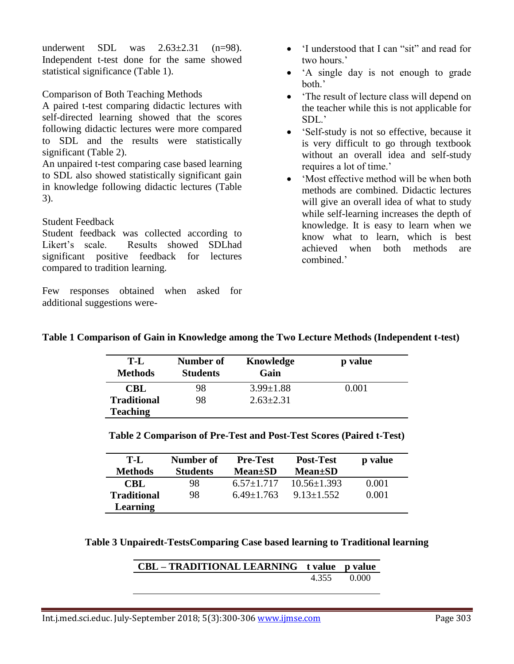underwent SDL was  $2.63\pm2.31$  (n=98). Independent t-test done for the same showed statistical significance (Table 1).

Comparison of Both Teaching Methods

A paired t-test comparing didactic lectures with self-directed learning showed that the scores following didactic lectures were more compared to SDL and the results were statistically significant (Table 2).

An unpaired t-test comparing case based learning to SDL also showed statistically significant gain in knowledge following didactic lectures (Table 3).

## Student Feedback

Student feedback was collected according to Likert"s scale. Results showed SDLhad significant positive feedback for lectures compared to tradition learning.

Few responses obtained when asked for additional suggestions were-

- 'I understood that I can "sit" and read for two hours."
- 'A single day is not enough to grade both.'
- "The result of lecture class will depend on the teacher while this is not applicable for SDL."
- "Self-study is not so effective, because it is very difficult to go through textbook without an overall idea and self-study requires a lot of time."
- "Most effective method will be when both methods are combined. Didactic lectures will give an overall idea of what to study while self-learning increases the depth of knowledge. It is easy to learn when we know what to learn, which is best achieved when both methods are combined.'

|  |  |  | Table 1 Comparison of Gain in Knowledge among the Two Lecture Methods (Independent t-test) |
|--|--|--|--------------------------------------------------------------------------------------------|
|--|--|--|--------------------------------------------------------------------------------------------|

| T-L<br><b>Methods</b> | Number of<br><b>Students</b> | Knowledge<br>Gain | p value |
|-----------------------|------------------------------|-------------------|---------|
| CBL                   | 98                           | $3.99 \pm 1.88$   | 0.001   |
| <b>Traditional</b>    | 98                           | $2.63 \pm 2.31$   |         |
| <b>Teaching</b>       |                              |                   |         |

**Table 2 Comparison of Pre-Test and Post-Test Scores (Paired t-Test)**

| T-L<br><b>Methods</b> | Number of<br><b>Students</b> | <b>Pre-Test</b><br><b>Mean</b> <sup>±</sup> SD | <b>Post-Test</b><br><b>Mean</b> <sup>±</sup> SD | p value |
|-----------------------|------------------------------|------------------------------------------------|-------------------------------------------------|---------|
| CBL                   | 98                           | $6.57+1.717$                                   | $10.56 \pm 1.393$                               | 0.001   |
| <b>Traditional</b>    | 98                           | $6.49+1.763$                                   | $9.13 + 1.552$                                  | 0.001   |
| Learning              |                              |                                                |                                                 |         |

**Table 3 Unpairedt-TestsComparing Case based learning to Traditional learning**

| CBL – TRADITIONAL LEARNING t value p value |             |
|--------------------------------------------|-------------|
|                                            | 4.355 0.000 |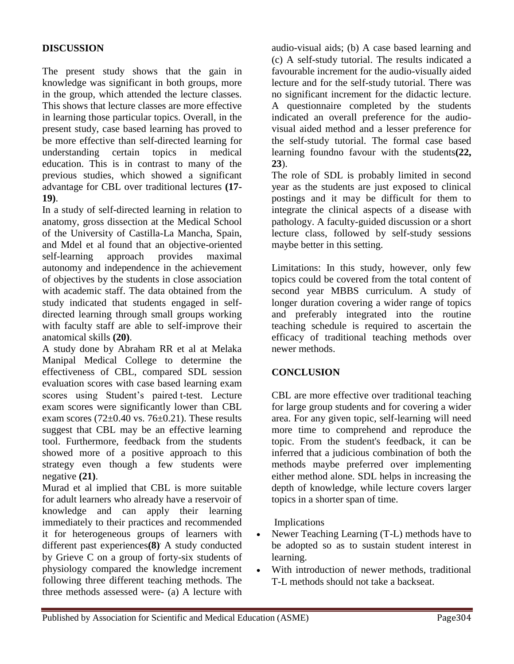#### **DISCUSSION**

The present study shows that the gain in knowledge was significant in both groups, more in the group, which attended the lecture classes. This shows that lecture classes are more effective in learning those particular topics. Overall, in the present study, case based learning has proved to be more effective than self-directed learning for understanding certain topics in medical education. This is in contrast to many of the previous studies, which showed a significant advantage for CBL over traditional lectures **(17- 19)**.

In a study of self-directed learning in relation to anatomy, gross dissection at the Medical School of the University of Castilla-La Mancha, Spain, and Mdel et al found that an objective-oriented self-learning approach provides maximal autonomy and independence in the achievement of objectives by the students in close association with academic staff. The data obtained from the study indicated that students engaged in selfdirected learning through small groups working with faculty staff are able to self-improve their anatomical skills **(20)**.

A study done by Abraham RR et al at Melaka Manipal Medical College to determine the effectiveness of CBL, compared SDL session evaluation scores with case based learning exam scores using Student's paired t-test. Lecture exam scores were significantly lower than CBL exam scores  $(72\pm0.40 \text{ vs. } 76\pm0.21)$ . These results suggest that CBL may be an effective learning tool. Furthermore, feedback from the students showed more of a positive approach to this strategy even though a few students were negative **(21)**.

Murad et al implied that CBL is more suitable for adult learners who already have a reservoir of knowledge and can apply their learning immediately to their practices and recommended it for heterogeneous groups of learners with different past experiences**(8)**. A study conducted by Grieve C on a group of forty-six students of physiology compared the knowledge increment following three different teaching methods. The three methods assessed were- (a) A lecture with

audio-visual aids; (b) A case based learning and (c) A self-study tutorial. The results indicated a favourable increment for the audio-visually aided lecture and for the self-study tutorial. There was no significant increment for the didactic lecture. A questionnaire completed by the students indicated an overall preference for the audiovisual aided method and a lesser preference for the self-study tutorial. The formal case based learning foundno favour with the students**(22, 23**).

The role of SDL is probably limited in second year as the students are just exposed to clinical postings and it may be difficult for them to integrate the clinical aspects of a disease with pathology. A faculty-guided discussion or a short lecture class, followed by self-study sessions maybe better in this setting.

Limitations: In this study, however, only few topics could be covered from the total content of second year MBBS curriculum. A study of longer duration covering a wider range of topics and preferably integrated into the routine teaching schedule is required to ascertain the efficacy of traditional teaching methods over newer methods.

#### **CONCLUSION**

CBL are more effective over traditional teaching for large group students and for covering a wider area. For any given topic, self-learning will need more time to comprehend and reproduce the topic. From the student's feedback, it can be inferred that a judicious combination of both the methods maybe preferred over implementing either method alone. SDL helps in increasing the depth of knowledge, while lecture covers larger topics in a shorter span of time.

Implications

- Newer Teaching Learning (T-L) methods have to be adopted so as to sustain student interest in learning.
- With introduction of newer methods, traditional T-L methods should not take a backseat.